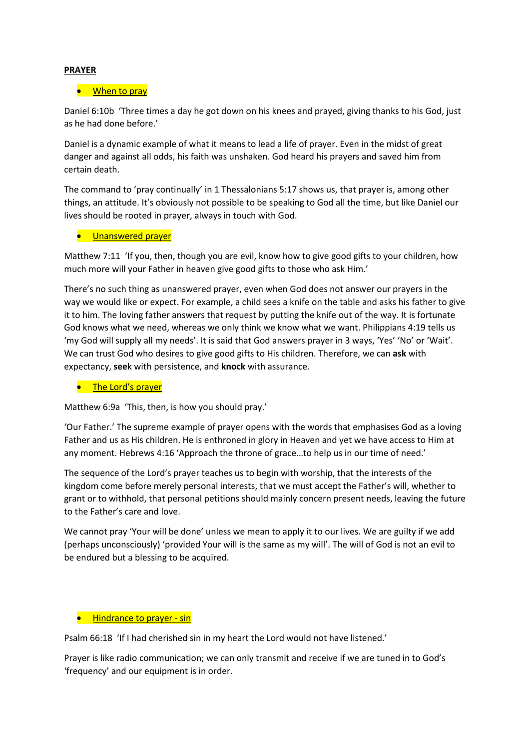## **PRAYER**

### When to pray

Daniel 6:10b 'Three times a day he got down on his knees and prayed, giving thanks to his God, just as he had done before.'

Daniel is a dynamic example of what it means to lead a life of prayer. Even in the midst of great danger and against all odds, his faith was unshaken. God heard his prayers and saved him from certain death.

The command to 'pray continually' in 1 Thessalonians 5:17 shows us, that prayer is, among other things, an attitude. It's obviously not possible to be speaking to God all the time, but like Daniel our lives should be rooted in prayer, always in touch with God.

#### **•** Unanswered prayer

Matthew 7:11 'If you, then, though you are evil, know how to give good gifts to your children, how much more will your Father in heaven give good gifts to those who ask Him.'

There's no such thing as unanswered prayer, even when God does not answer our prayers in the way we would like or expect. For example, a child sees a knife on the table and asks his father to give it to him. The loving father answers that request by putting the knife out of the way. It is fortunate God knows what we need, whereas we only think we know what we want. Philippians 4:19 tells us 'my God will supply all my needs'. It is said that God answers prayer in 3 ways, 'Yes' 'No' or 'Wait'. We can trust God who desires to give good gifts to His children.Therefore, we can **ask** with expectancy, **see**k with persistence, and **knock** with assurance.

#### The Lord's prayer

Matthew 6:9a 'This, then, is how you should pray.'

'Our Father.' The supreme example of prayer opens with the words that emphasises God as a loving Father and us as His children. He is enthroned in glory in Heaven and yet we have access to Him at any moment. Hebrews 4:16 'Approach the throne of grace…to help us in our time of need.'

The sequence of the Lord's prayer teaches us to begin with worship, that the interests of the kingdom come before merely personal interests, that we must accept the Father's will, whether to grant or to withhold, that personal petitions should mainly concern present needs, leaving the future to the Father's care and love.

We cannot pray 'Your will be done' unless we mean to apply it to our lives. We are guilty if we add (perhaps unconsciously) 'provided Your will is the same as my will'.The will of God is not an evil to be endured but a blessing to be acquired.

#### **•** Hindrance to prayer - sin

Psalm 66:18 'If I had cherished sin in my heart the Lord would not have listened.'

Prayer is like radio communication; we can only transmit and receive if we are tuned in to God's 'frequency' and our equipment is in order.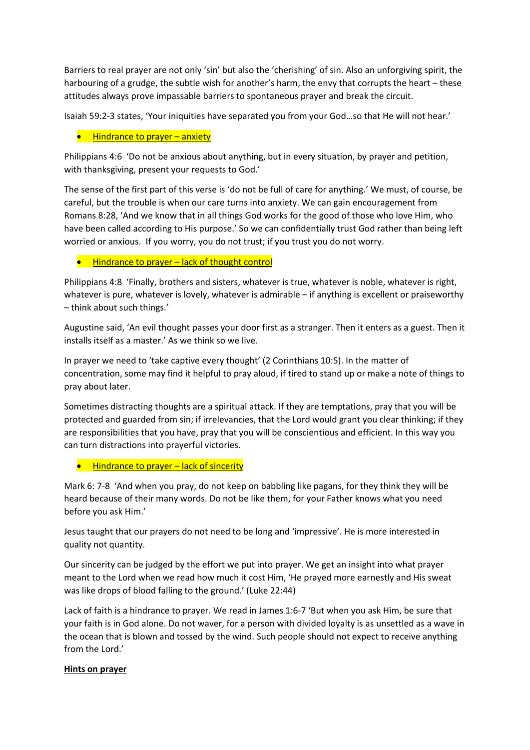Barriers to real prayer are not only 'sin' but also the 'cherishing' of sin. Also an unforgiving spirit, the harbouring of a grudge, the subtle wish for another's harm, the envy that corrupts the heart – these attitudes always prove impassable barriers to spontaneous prayer and break the circuit.

Isaiah 59:2-3 states, 'Your iniquities have separated you from your God…so that He will not hear.'

## Hindrance to prayer – anxiety

Philippians 4:6 'Do not be anxious about anything, but in every situation, by prayer and petition, with thanksgiving, present your requests to God.'

The sense of the first part of this verse is 'do not be full of care for anything.' We must, of course, be careful, but the trouble is when our care turns into anxiety. We can gain encouragement from Romans 8:28, 'And we know that in all things God works for the good of those who love Him, who have been called according to His purpose.' So we can confidentially trust God rather than being left worried or anxious. If you worry, you do not trust; if you trust you do not worry.

## ● Hindrance to prayer – lack of thought control

Philippians 4:8 'Finally, brothers and sisters, whatever is true, whatever is noble, whatever is right, whatever is pure, whatever is lovely, whatever is admirable – if anything is excellent or praiseworthy – think about such things.'

Augustine said, 'An evil thought passes your door first as a stranger. Then it enters as a guest. Then it installs itself as a master.' As we think so we live.

In prayer we need to 'take captive every thought' (2 Corinthians 10:5). In the matter of concentration, some may find it helpful to pray aloud, if tired to stand up or make a note of things to pray about later.

Sometimes distracting thoughts are a spiritual attack. If they are temptations, pray that you will be protected and guarded from sin; if irrelevancies, that the Lord would grant you clear thinking; if they are responsibilities that you have, pray that you will be conscientious and efficient. In this way you can turn distractions into prayerful victories.

## Hindrance to prayer – lack of sincerity

Mark 6: 7-8 'And when you pray, do not keep on babbling like pagans, for they think they will be heard because of their many words. Do not be like them, for your Father knows what you need before you ask Him.'

Jesus taught that our prayers do not need to be long and 'impressive'. He is more interested in quality not quantity.

Our sincerity can be judged by the effort we put into prayer. We get an insight into what prayer meant to the Lord when we read how much it cost Him, 'He prayed more earnestly and His sweat was like drops of blood falling to the ground.' (Luke 22:44)

Lack of faith is a hindrance to prayer. We read in James 1:6-7 'But when you ask Him, be sure that your faith is in God alone. Do not waver, for a person with divided loyalty is as unsettled as a wave in the ocean that is blown and tossed by the wind. Such people should not expect to receive anything from the Lord.'

## **Hints on prayer**